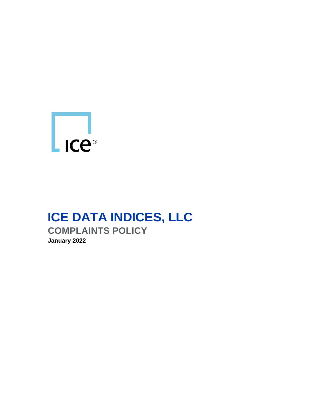

# **ICE DATA INDICES, LLC COMPLAINTS POLICY January 2022**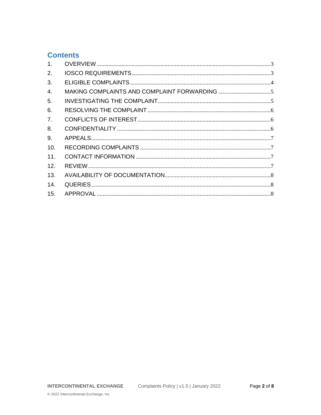#### **Contents**

| $\mathbf{1}$ . |  |
|----------------|--|
| 2.             |  |
| 3.             |  |
| 4.             |  |
| 5.             |  |
| 6.             |  |
| 7 <sub>1</sub> |  |
| 8.             |  |
| 9.             |  |
| 10.            |  |
| 11.            |  |
| 12.            |  |
| 13.            |  |
| 14.            |  |
| 15.            |  |
|                |  |

© 2022 Intercontinental Exchange, Inc.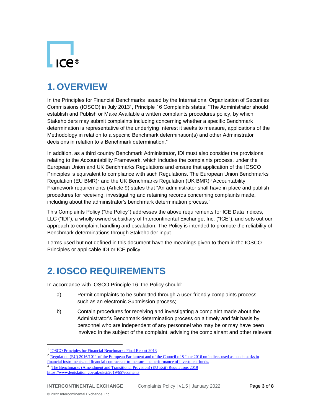

### <span id="page-2-0"></span>**1. OVERVIEW**

In the Principles for Financial Benchmarks issued by the International Organization of Securities Commissions (IOSCO) in July 2013<sup>1</sup> , Principle 16 Complaints states: "The Administrator should establish and Publish or Make Available a written complaints procedures policy, by which Stakeholders may submit complaints including concerning whether a specific Benchmark determination is representative of the underlying Interest it seeks to measure, applications of the Methodology in relation to a specific Benchmark determination(s) and other Administrator decisions in relation to a Benchmark determination."

In addition, as a third country Benchmark Administrator, IDI must also consider the provisions relating to the Accountability Framework, which includes the complaints process, under the European Union and UK Benchmarks Regulations and ensure that application of the IOSCO Principles is equivalent to compliance with such Regulations. The European Union Benchmarks Regulation (EU BMR)<sup>2</sup> and the UK Benchmarks Regulation (UK BMR)<sup>3</sup> Accountability Framework requirements (Article 9) states that "An administrator shall have in place and publish procedures for receiving, investigating and retaining records concerning complaints made, including about the administrator's benchmark determination process."

This Complaints Policy ("the Policy") addresses the above requirements for ICE Data Indices, LLC ("IDI"), a wholly owned subsidiary of Intercontinental Exchange, Inc. ("ICE"), and sets out our approach to complaint handling and escalation. The Policy is intended to promote the reliability of Benchmark determinations through Stakeholder input.

Terms used but not defined in this document have the meanings given to them in the IOSCO Principles or applicable IDI or ICE policy.

# <span id="page-2-1"></span>**2. IOSCO REQUIREMENTS**

In accordance with IOSCO Principle 16, the Policy should:

- a) Permit complaints to be submitted through a user-friendly complaints process such as an electronic Submission process;
- b) Contain procedures for receiving and investigating a complaint made about the Administrator's Benchmark determination process on a timely and fair basis by personnel who are independent of any personnel who may be or may have been involved in the subject of the complaint, advising the complainant and other relevant

<sup>&</sup>lt;sup>1</sup> **[IOSCO Principles for Financial Benchmarks Final Report 2013](https://www.iosco.org/library/pubdocs/pdf/IOSCOPD415.pdf)** 

<sup>&</sup>lt;sup>2</sup> Regulation (EU) 2016/1011 of the European Parliament and of the Council of 8 June 2016 on indices used as benchmarks in

[financial instruments and financial contracts or to](https://eur-lex.europa.eu/legal-content/EN/TXT/?uri=CELEX%3A32016R1011) measure the performance of investment funds. <sup>3</sup> The Benchmarks (Amendment and Transitional Provision) (EU Exit) Regulations 2019

<https://www.legislation.gov.uk/uksi/2019/657/contents>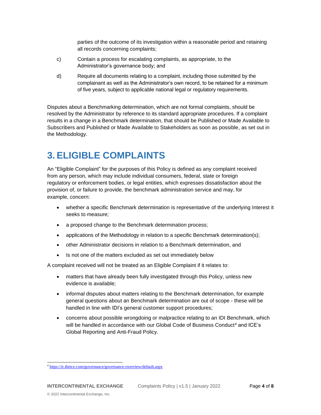parties of the outcome of its investigation within a reasonable period and retaining all records concerning complaints;

- c) Contain a process for escalating complaints, as appropriate, to the Administrator's governance body; and
- d) Require all documents relating to a complaint, including those submitted by the complainant as well as the Administrator's own record, to be retained for a minimum of five years, subject to applicable national legal or regulatory requirements.

Disputes about a Benchmarking determination, which are not formal complaints, should be resolved by the Administrator by reference to its standard appropriate procedures. If a complaint results in a change in a Benchmark determination, that should be Published or Made Available to Subscribers and Published or Made Available to Stakeholders as soon as possible, as set out in the Methodology.

#### <span id="page-3-0"></span>**3. ELIGIBLE COMPLAINTS**

An "Eligible Complaint" for the purposes of this Policy is defined as any complaint received from any person, which may include individual consumers, federal, state or foreign regulatory or enforcement bodies, or legal entities, which expresses dissatisfaction about the provision of, or failure to provide, the benchmark administration service and may, for example, concern:

- whether a specific Benchmark determination is representative of the underlying Interest it seeks to measure;
- a proposed change to the Benchmark determination process;
- applications of the Methodology in relation to a specific Benchmark determination(s);
- other Administrator decisions in relation to a Benchmark determination, and
- Is not one of the matters excluded as set out immediately below

A complaint received will not be treated as an Eligible Complaint if it relates to:

- matters that have already been fully investigated through this Policy, unless new evidence is available;
- informal disputes about matters relating to the Benchmark determination, for example general questions about an Benchmark determination are out of scope - these will be handled in line with IDI's general customer support procedures;
- concerns about possible wrongdoing or malpractice relating to an IDI Benchmark, which will be handled in accordance with our Global Code of Business Conduct<sup>4</sup> and ICE's Global Reporting and Anti-Fraud Policy.

<sup>4</sup> <https://ir.theice.com/governance/governance-overview/default.aspx>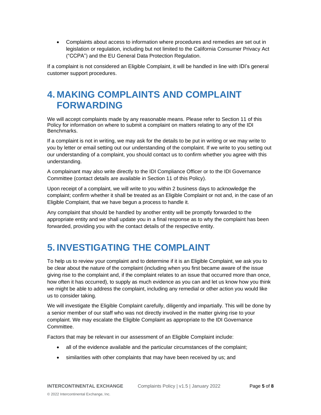• Complaints about access to information where procedures and remedies are set out in legislation or regulation, including but not limited to the California Consumer Privacy Act ("CCPA") and the EU General Data Protection Regulation.

If a complaint is not considered an Eligible Complaint, it will be handled in line with IDI's general customer support procedures.

### <span id="page-4-0"></span>**4. MAKING COMPLAINTS AND COMPLAINT FORWARDING**

We will accept complaints made by any reasonable means. Please refer to Section 11 of this Policy for information on where to submit a complaint on matters relating to any of the IDI Benchmarks.

If a complaint is not in writing, we may ask for the details to be put in writing or we may write to you by letter or email setting out our understanding of the complaint. If we write to you setting out our understanding of a complaint, you should contact us to confirm whether you agree with this understanding.

A complainant may also write directly to the IDI Compliance Officer or to the IDI Governance Committee (contact details are available in Section 11 of this Policy).

Upon receipt of a complaint, we will write to you within 2 business days to acknowledge the complaint; confirm whether it shall be treated as an Eligible Complaint or not and, in the case of an Eligible Complaint, that we have begun a process to handle it.

Any complaint that should be handled by another entity will be promptly forwarded to the appropriate entity and we shall update you in a final response as to why the complaint has been forwarded, providing you with the contact details of the respective entity.

# <span id="page-4-1"></span>**5. INVESTIGATING THE COMPLAINT**

To help us to review your complaint and to determine if it is an Eligible Complaint, we ask you to be clear about the nature of the complaint (including when you first became aware of the issue giving rise to the complaint and, if the complaint relates to an issue that occurred more than once, how often it has occurred), to supply as much evidence as you can and let us know how you think we might be able to address the complaint, including any remedial or other action you would like us to consider taking.

We will investigate the Eligible Complaint carefully, diligently and impartially. This will be done by a senior member of our staff who was not directly involved in the matter giving rise to your complaint. We may escalate the Eligible Complaint as appropriate to the IDI Governance Committee.

Factors that may be relevant in our assessment of an Eligible Complaint include:

- all of the evidence available and the particular circumstances of the complaint;
- similarities with other complaints that may have been received by us; and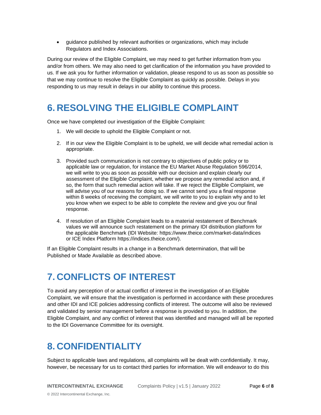• guidance published by relevant authorities or organizations, which may include Regulators and Index Associations.

During our review of the Eligible Complaint, we may need to get further information from you and/or from others. We may also need to get clarification of the information you have provided to us. If we ask you for further information or validation, please respond to us as soon as possible so that we may continue to resolve the Eligible Complaint as quickly as possible. Delays in you responding to us may result in delays in our ability to continue this process.

### <span id="page-5-0"></span>**6. RESOLVING THE ELIGIBLE COMPLAINT**

Once we have completed our investigation of the Eligible Complaint:

- 1. We will decide to uphold the Eligible Complaint or not.
- 2. If in our view the Eligible Complaint is to be upheld, we will decide what remedial action is appropriate.
- 3. Provided such communication is not contrary to objectives of public policy or to applicable law or regulation, for instance the EU Market Abuse Regulation 596/2014, we will write to you as soon as possible with our decision and explain clearly our assessment of the Eligible Complaint, whether we propose any remedial action and, if so, the form that such remedial action will take. If we reject the Eligible Complaint, we will advise you of our reasons for doing so. If we cannot send you a final response within 8 weeks of receiving the complaint, we will write to you to explain why and to let you know when we expect to be able to complete the review and give you our final response.
- 4. If resolution of an Eligible Complaint leads to a material restatement of Benchmark values we will announce such restatement on the primary IDI distribution platform for the applicable Benchmark (IDI Website: <https://www.theice.com/market-data/indices> or ICE Index Platform https://indices.theice.com/).

<span id="page-5-1"></span>If an Eligible Complaint results in a change in a Benchmark determination, that will be Published or Made Available as described above.

### **7. CONFLICTS OF INTEREST**

To avoid any perception of or actual conflict of interest in the investigation of an Eligible Complaint, we will ensure that the investigation is performed in accordance with these procedures and other IDI and ICE policies addressing conflicts of interest. The outcome will also be reviewed and validated by senior management before a response is provided to you. In addition, the Eligible Complaint, and any conflict of interest that was identified and managed will all be reported to the IDI Governance Committee for its oversight.

#### <span id="page-5-2"></span>**8. CONFIDENTIALITY**

Subject to applicable laws and regulations, all complaints will be dealt with confidentially. It may, however, be necessary for us to contact third parties for information. We will endeavor to do this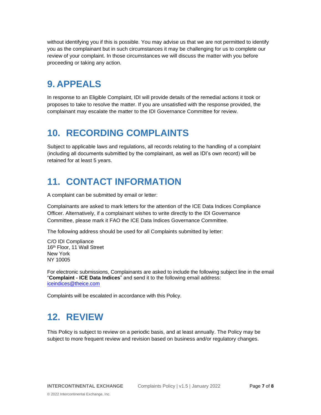without identifying you if this is possible. You may advise us that we are not permitted to identify you as the complainant but in such circumstances it may be challenging for us to complete our review of your complaint. In those circumstances we will discuss the matter with you before proceeding or taking any action.

### <span id="page-6-0"></span>**9. APPEALS**

In response to an Eligible Complaint, IDI will provide details of the remedial actions it took or proposes to take to resolve the matter. If you are unsatisfied with the response provided, the complainant may escalate the matter to the IDI Governance Committee for review.

### <span id="page-6-1"></span>**10. RECORDING COMPLAINTS**

Subject to applicable laws and regulations, all records relating to the handling of a complaint (including all documents submitted by the complainant, as well as IDI's own record) will be retained for at least 5 years.

### <span id="page-6-2"></span>**11. CONTACT INFORMATION**

A complaint can be submitted by email or letter:

Complainants are asked to mark letters for the attention of the ICE Data Indices Compliance Officer. Alternatively, if a complainant wishes to write directly to the IDI Governance Committee, please mark it FAO the ICE Data Indices Governance Committee.

The following address should be used for all Complaints submitted by letter:

C/O IDI Compliance 16th Floor, 11 Wall Street New York NY 10005

For electronic submissions, Complainants are asked to include the following subject line in the email "**Complaint - ICE Data Indices**" and send it to the following email address: [iceindices@theice.com](mailto:iceindices@theice.com)

<span id="page-6-3"></span>Complaints will be escalated in accordance with this Policy.

# **12. REVIEW**

This Policy is subject to review on a periodic basis, and at least annually. The Policy may be subject to more frequent review and revision based on business and/or regulatory changes.